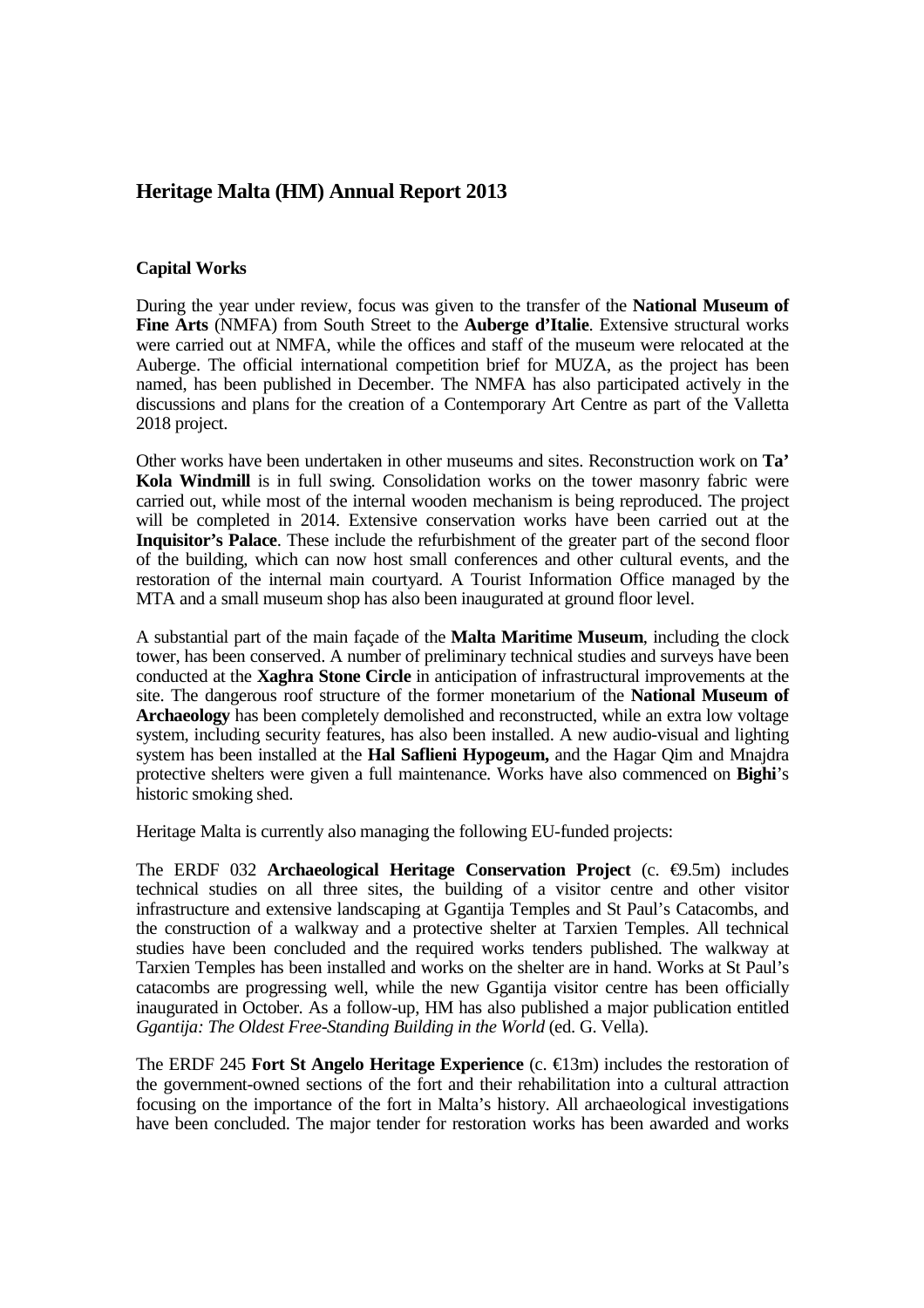## **Heritage Malta (HM) Annual Report 2013**

## **Capital Works**

During the year under review, focus was given to the transfer of the **National Museum of Fine Arts** (NMFA) from South Street to the **Auberge d'Italie**. Extensive structural works were carried out at NMFA, while the offices and staff of the museum were relocated at the Auberge. The official international competition brief for MUZA, as the project has been named, has been published in December. The NMFA has also participated actively in the discussions and plans for the creation of a Contemporary Art Centre as part of the Valletta 2018 project.

Other works have been undertaken in other museums and sites. Reconstruction work on **Ta' Kola Windmill** is in full swing. Consolidation works on the tower masonry fabric were carried out, while most of the internal wooden mechanism is being reproduced. The project will be completed in 2014. Extensive conservation works have been carried out at the **Inquisitor's Palace**. These include the refurbishment of the greater part of the second floor of the building, which can now host small conferences and other cultural events, and the restoration of the internal main courtyard. A Tourist Information Office managed by the MTA and a small museum shop has also been inaugurated at ground floor level.

A substantial part of the main façade of the **Malta Maritime Museum**, including the clock tower, has been conserved. A number of preliminary technical studies and surveys have been conducted at the **Xaghra Stone Circle** in anticipation of infrastructural improvements at the site. The dangerous roof structure of the former monetarium of the **National Museum of Archaeology** has been completely demolished and reconstructed, while an extra low voltage system, including security features, has also been installed. A new audio-visual and lighting system has been installed at the **Hal Saflieni Hypogeum,** and the Hagar Qim and Mnajdra protective shelters were given a full maintenance. Works have also commenced on **Bighi**'s historic smoking shed.

Heritage Malta is currently also managing the following EU-funded projects:

The ERDF 032 **Archaeological Heritage Conservation Project** (c. €9.5m) includes technical studies on all three sites, the building of a visitor centre and other visitor infrastructure and extensive landscaping at Ggantija Temples and St Paul's Catacombs, and the construction of a walkway and a protective shelter at Tarxien Temples. All technical studies have been concluded and the required works tenders published. The walkway at Tarxien Temples has been installed and works on the shelter are in hand. Works at St Paul's catacombs are progressing well, while the new Ggantija visitor centre has been officially inaugurated in October. As a follow-up, HM has also published a major publication entitled *Ggantija: The Oldest Free-Standing Building in the World* (ed. G. Vella).

The ERDF 245 **Fort St Angelo Heritage Experience** (c. €13m) includes the restoration of the government-owned sections of the fort and their rehabilitation into a cultural attraction focusing on the importance of the fort in Malta's history. All archaeological investigations have been concluded. The major tender for restoration works has been awarded and works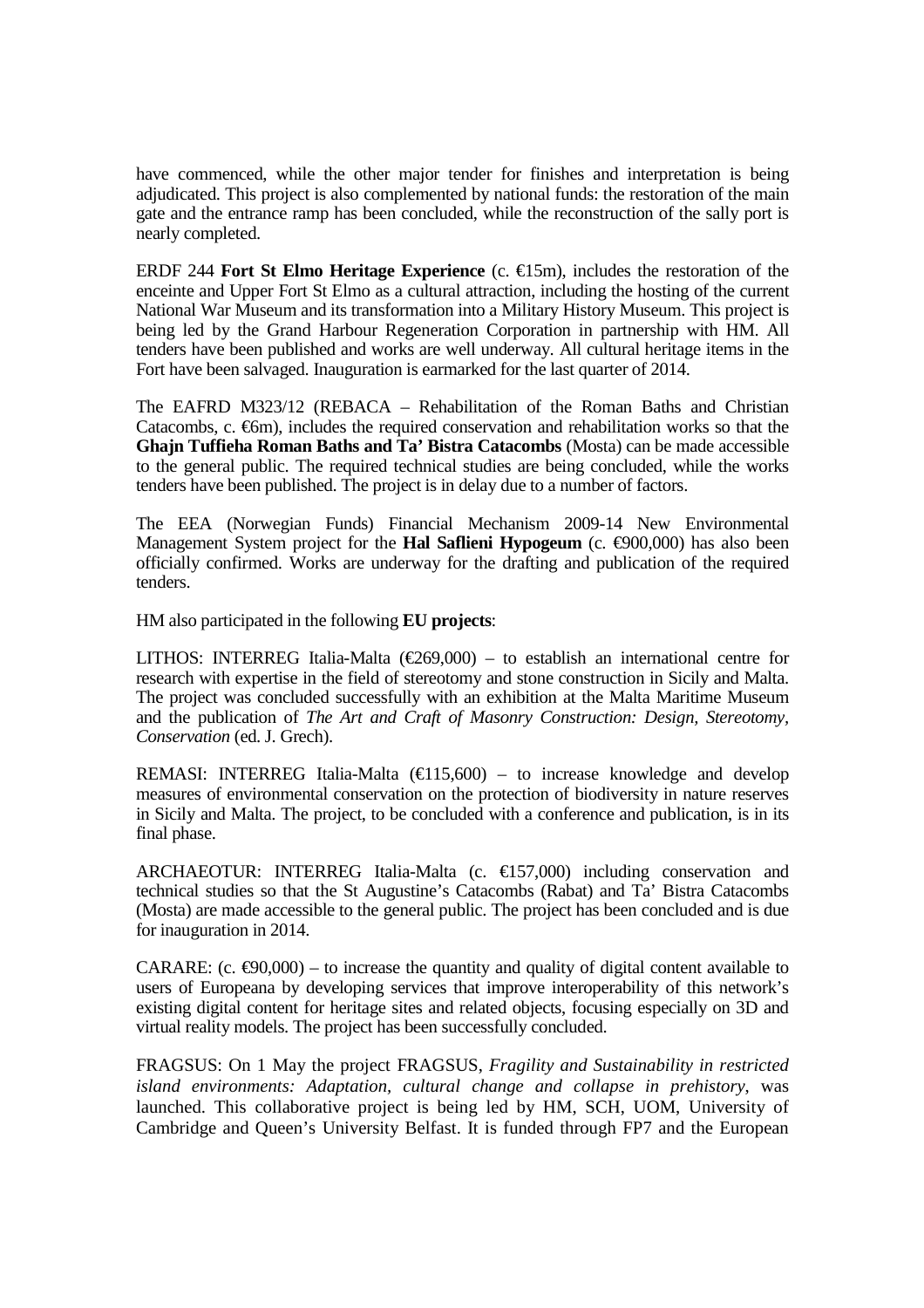have commenced, while the other major tender for finishes and interpretation is being adjudicated. This project is also complemented by national funds: the restoration of the main gate and the entrance ramp has been concluded, while the reconstruction of the sally port is nearly completed.

ERDF 244 **Fort St Elmo Heritage Experience** (c.  $\epsilon$ 15m), includes the restoration of the enceinte and Upper Fort St Elmo as a cultural attraction, including the hosting of the current National War Museum and its transformation into a Military History Museum. This project is being led by the Grand Harbour Regeneration Corporation in partnership with HM. All tenders have been published and works are well underway. All cultural heritage items in the Fort have been salvaged. Inauguration is earmarked for the last quarter of 2014.

The EAFRD M323/12 (REBACA – Rehabilitation of the Roman Baths and Christian Catacombs, c.  $\epsilon$ 6m), includes the required conservation and rehabilitation works so that the **Ghajn Tuffieha Roman Baths and Ta' Bistra Catacombs** (Mosta) can be made accessible to the general public. The required technical studies are being concluded, while the works tenders have been published. The project is in delay due to a number of factors.

The EEA (Norwegian Funds) Financial Mechanism 2009-14 New Environmental Management System project for the **Hal Saflieni Hypogeum** (c. €900,000) has also been officially confirmed. Works are underway for the drafting and publication of the required tenders.

HM also participated in the following **EU projects**:

LITHOS: INTERREG Italia-Malta ( $\epsilon$ 269,000) – to establish an international centre for research with expertise in the field of stereotomy and stone construction in Sicily and Malta. The project was concluded successfully with an exhibition at the Malta Maritime Museum and the publication of *The Art and Craft of Masonry Construction: Design, Stereotomy, Conservation* (ed. J. Grech).

REMASI: INTERREG Italia-Malta ( $\epsilon$ 115,600) – to increase knowledge and develop measures of environmental conservation on the protection of biodiversity in nature reserves in Sicily and Malta. The project, to be concluded with a conference and publication, is in its final phase.

ARCHAEOTUR: INTERREG Italia-Malta (c. €157,000) induding conservation and technical studies so that the St Augustine's Catacombs (Rabat) and Ta' Bistra Catacombs (Mosta) are made accessible to the general public. The project has been concluded and is due for inauguration in 2014.

CARARE: (c.  $\epsilon$ 90,000) – to increase the quantity and quality of digital content available to users of Europeana by developing services that improve interoperability of this network's existing digital content for heritage sites and related objects, focusing especially on 3D and virtual reality models. The project has been successfully concluded.

FRAGSUS: On 1 May the project FRAGSUS, *Fragility and Sustainability in restricted island environments: Adaptation, cultural change and collapse in prehistory*, was launched. This collaborative project is being led by HM, SCH, UOM, University of Cambridge and Queen's University Belfast. It is funded through FP7 and the European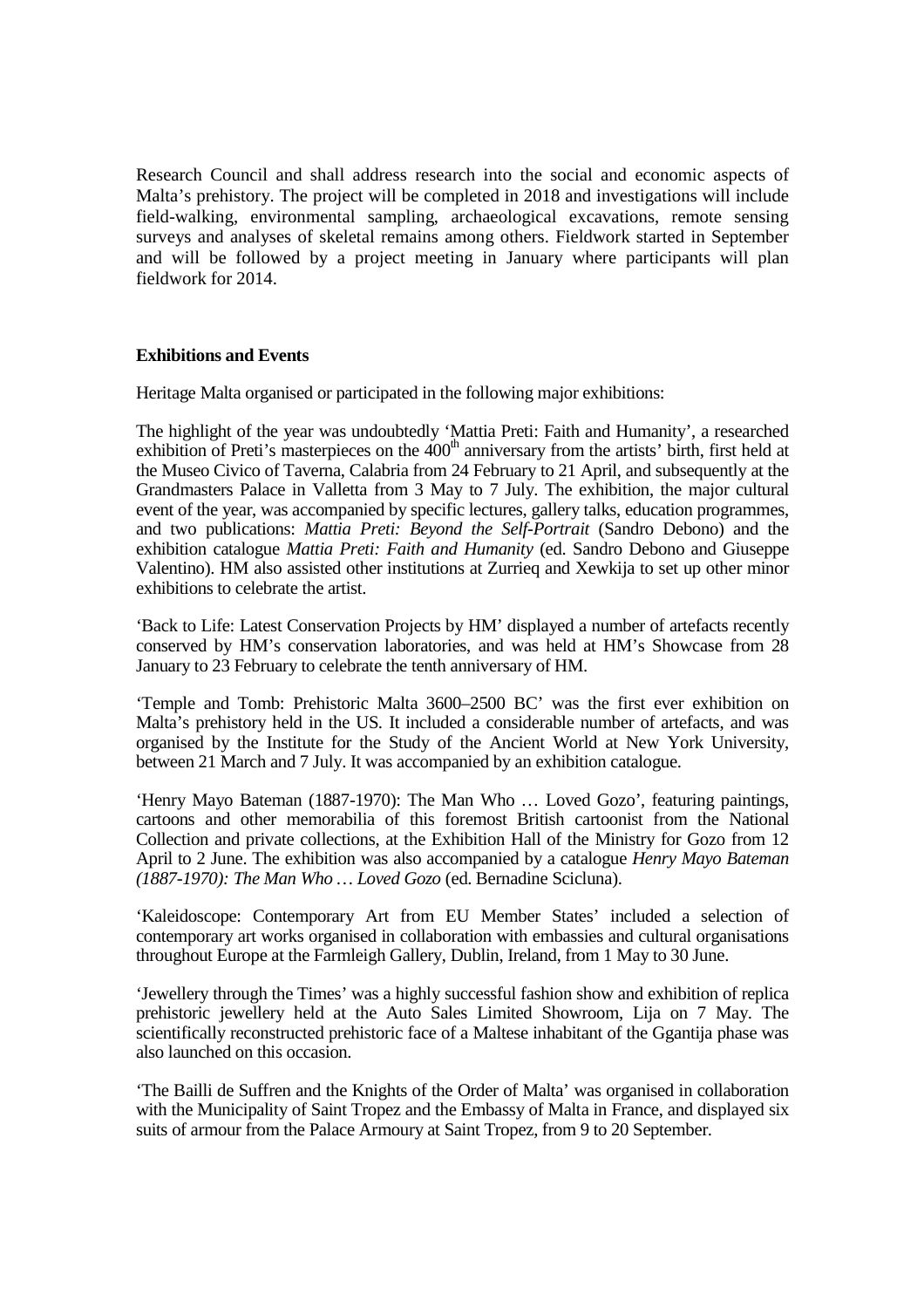Research Council and shall address research into the social and economic aspects of Malta's prehistory. The project will be completed in 2018 and investigations will include field-walking, environmental sampling, archaeological excavations, remote sensing surveys and analyses of skeletal remains among others. Fieldwork started in September and will be followed by a project meeting in January where participants will plan fieldwork for 2014.

## **Exhibitions and Events**

Heritage Malta organised or participated in the following major exhibitions:

The highlight of the year was undoubtedly 'Mattia Preti: Faith and Humanity', a researched exhibition of Preti's masterpieces on the  $400<sup>th</sup>$  anniversary from the artists' birth, first held at the Museo Civico of Taverna, Calabria from 24 February to 21 April, and subsequently at the Grandmasters Palace in Valletta from 3 May to 7 July. The exhibition, the major cultural event of the year, was accompanied by specific lectures, gallery talks, education programmes, and two publications: *Mattia Preti: Beyond the Self-Portrait* (Sandro Debono) and the exhibition catalogue *Mattia Preti: Faith and Humanity* (ed. Sandro Debono and Giuseppe Valentino). HM also assisted other institutions at Zurrieq and Xewkija to set up other minor exhibitions to celebrate the artist.

'Back to Life: Latest Conservation Projects by HM' displayed a number of artefacts recently conserved by HM's conservation laboratories, and was held at HM's Showcase from 28 January to 23 February to celebrate the tenth anniversary of HM.

'Temple and Tomb: Prehistoric Malta 3600–2500 BC' was the first ever exhibition on Malta's prehistory held in the US. It included a considerable number of artefacts, and was organised by the Institute for the Study of the Ancient World at New York University, between 21 March and 7 July. It was accompanied by an exhibition catalogue.

'Henry Mayo Bateman (1887-1970): The Man Who … Loved Gozo', featuring paintings, cartoons and other memorabilia of this foremost British cartoonist from the National Collection and private collections, at the Exhibition Hall of the Ministry for Gozo from 12 April to 2 June. The exhibition was also accompanied by a catalogue *Henry Mayo Bateman (1887-1970): The Man Who … Loved Gozo* (ed. Bernadine Scicluna).

'Kaleidoscope: Contemporary Art from EU Member States' included a selection of contemporary art works organised in collaboration with embassies and cultural organisations throughout Europe at the Farmleigh Gallery, Dublin, Ireland, from 1 May to 30 June.

'Jewellery through the Times' was a highly successful fashion show and exhibition of replica prehistoric jewellery held at the Auto Sales Limited Showroom, Lija on 7 May. The scientifically reconstructed prehistoric face of a Maltese inhabitant of the Ggantija phase was also launched on this occasion.

'The Bailli de Suffren and the Knights of the Order of Malta' was organised in collaboration with the Municipality of Saint Tropez and the Embassy of Malta in France, and displayed six suits of armour from the Palace Armoury at Saint Tropez, from 9 to 20 September.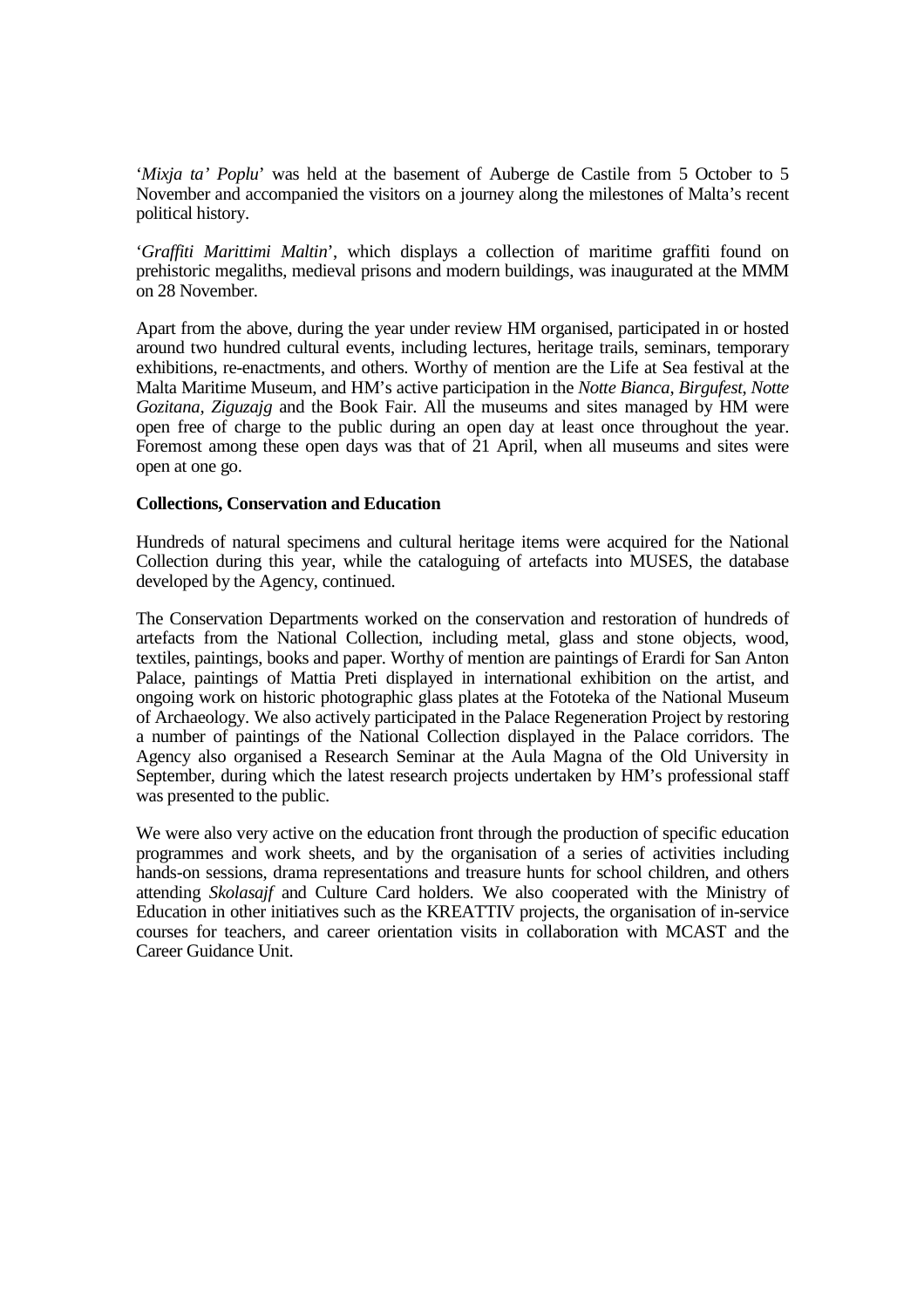'*Mixja ta' Poplu*' was held at the basement of Auberge de Castile from 5 October to 5 November and accompanied the visitors on a journey along the milestones of Malta's recent political history.

'*Graffiti Marittimi Maltin*', which displays a collection of maritime graffiti found on prehistoric megaliths, medieval prisons and modern buildings, was inaugurated at the MMM on 28 November.

Apart from the above, during the year under review HM organised, participated in or hosted around two hundred cultural events, including lectures, heritage trails, seminars, temporary exhibitions, re-enactments, and others. Worthy of mention are the Life at Sea festival at the Malta Maritime Museum, and HM's active participation in the *Notte Bianca*, *Birgufest*, *Notte Gozitana, Ziguzajg* and the Book Fair. All the museums and sites managed by HM were open free of charge to the public during an open day at least once throughout the year. Foremost among these open days was that of 21 April, when all museums and sites were open at one go.

## **Collections, Conservation and Education**

Hundreds of natural specimens and cultural heritage items were acquired for the National Collection during this year, while the cataloguing of artefacts into MUSES, the database developed by the Agency, continued.

The Conservation Departments worked on the conservation and restoration of hundreds of artefacts from the National Collection, including metal, glass and stone objects, wood, textiles, paintings, books and paper. Worthy of mention are paintings of Erardi for San Anton Palace, paintings of Mattia Preti displayed in international exhibition on the artist, and ongoing work on historic photographic glass plates at the Fototeka of the National Museum of Archaeology. We also actively participated in the Palace Regeneration Project by restoring a number of paintings of the National Collection displayed in the Palace corridors. The Agency also organised a Research Seminar at the Aula Magna of the Old University in September, during which the latest research projects undertaken by HM's professional staff was presented to the public.

We were also very active on the education front through the production of specific education programmes and work sheets, and by the organisation of a series of activities including hands-on sessions, drama representations and treasure hunts for school children, and others attending *Skolasajf* and Culture Card holders. We also cooperated with the Ministry of Education in other initiatives such as the KREATTIV projects, the organisation of in-service courses for teachers, and career orientation visits in collaboration with MCAST and the Career Guidance Unit.